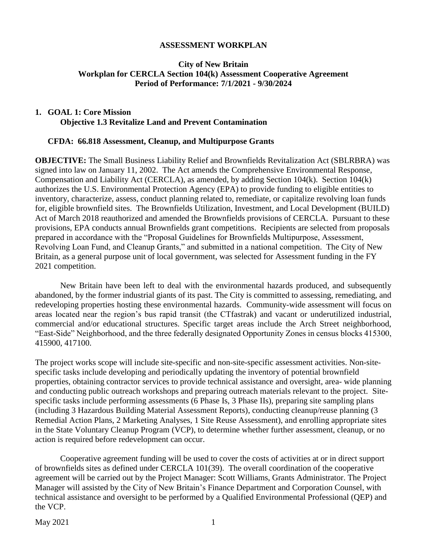#### **ASSESSMENT WORKPLAN**

#### **City of New Britain Workplan for CERCLA Section 104(k) Assessment Cooperative Agreement Period of Performance: 7/1/2021 - 9/30/2024**

### **1. GOAL 1: Core Mission Objective 1.3 Revitalize Land and Prevent Contamination**

#### **CFDA: 66.818 Assessment, Cleanup, and Multipurpose Grants**

**OBJECTIVE:** The Small Business Liability Relief and Brownfields Revitalization Act (SBLRBRA) was signed into law on January 11, 2002. The Act amends the Comprehensive Environmental Response, Compensation and Liability Act (CERCLA), as amended, by adding Section 104(k). Section 104(k) authorizes the U.S. Environmental Protection Agency (EPA) to provide funding to eligible entities to inventory, characterize, assess, conduct planning related to, remediate, or capitalize revolving loan funds for, eligible brownfield sites. The Brownfields Utilization, Investment, and Local Development (BUILD) Act of March 2018 reauthorized and amended the Brownfields provisions of CERCLA. Pursuant to these provisions, EPA conducts annual Brownfields grant competitions. Recipients are selected from proposals prepared in accordance with the "Proposal Guidelines for Brownfields Multipurpose, Assessment, Revolving Loan Fund, and Cleanup Grants," and submitted in a national competition. The City of New Britain, as a general purpose unit of local government, was selected for Assessment funding in the FY 2021 competition.

New Britain have been left to deal with the environmental hazards produced, and subsequently abandoned, by the former industrial giants of its past. The City is committed to assessing, remediating, and redeveloping properties hosting these environmental hazards. Community-wide assessment will focus on areas located near the region's bus rapid transit (the CTfastrak) and vacant or underutilized industrial, commercial and/or educational structures. Specific target areas include the Arch Street neighborhood, "East-Side" Neighborhood, and the three federally designated Opportunity Zones in census blocks 415300, 415900, 417100.

The project works scope will include site-specific and non-site-specific assessment activities. Non-sitespecific tasks include developing and periodically updating the inventory of potential brownfield properties, obtaining contractor services to provide technical assistance and oversight, area- wide planning and conducting public outreach workshops and preparing outreach materials relevant to the project. Sitespecific tasks include performing assessments (6 Phase Is, 3 Phase IIs), preparing site sampling plans (including 3 Hazardous Building Material Assessment Reports), conducting cleanup/reuse planning (3 Remedial Action Plans, 2 Marketing Analyses, 1 Site Reuse Assessment), and enrolling appropriate sites in the State Voluntary Cleanup Program (VCP), to determine whether further assessment, cleanup, or no action is required before redevelopment can occur.

Cooperative agreement funding will be used to cover the costs of activities at or in direct support of brownfields sites as defined under CERCLA 101(39). The overall coordination of the cooperative agreement will be carried out by the Project Manager: Scott Williams, Grants Administrator. The Project Manager will assisted by the City of New Britain's Finance Department and Corporation Counsel, with technical assistance and oversight to be performed by a Qualified Environmental Professional (QEP) and the VCP.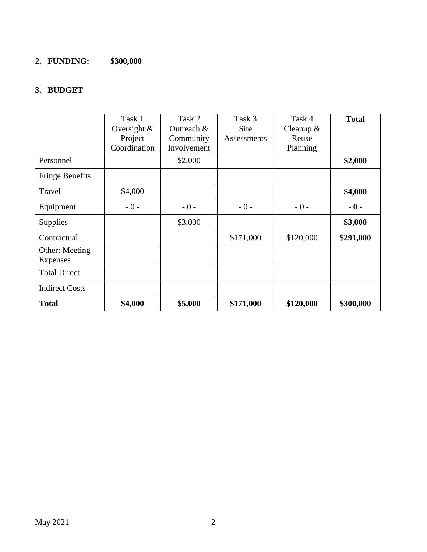# **2. FUNDING: \$300,000**

## **3. BUDGET**

|                        | Task 1         | Task 2      | Task 3      | Task 4      | <b>Total</b> |
|------------------------|----------------|-------------|-------------|-------------|--------------|
|                        | Oversight $\&$ | Outreach &  | <b>Site</b> | Cleanup $&$ |              |
|                        | Project        | Community   | Assessments | Reuse       |              |
|                        | Coordination   | Involvement |             | Planning    |              |
| Personnel              |                | \$2,000     |             |             | \$2,000      |
| <b>Fringe Benefits</b> |                |             |             |             |              |
| Travel                 | \$4,000        |             |             |             | \$4,000      |
| Equipment              | $-0-$          | $-0-$       | $-0-$       | $-0-$       | $-0-$        |
| <b>Supplies</b>        |                | \$3,000     |             |             | \$3,000      |
| Contractual            |                |             | \$171,000   | \$120,000   | \$291,000    |
| Other: Meeting         |                |             |             |             |              |
| Expenses               |                |             |             |             |              |
| <b>Total Direct</b>    |                |             |             |             |              |
| <b>Indirect Costs</b>  |                |             |             |             |              |
| <b>Total</b>           | \$4,000        | \$5,000     | \$171,000   | \$120,000   | \$300,000    |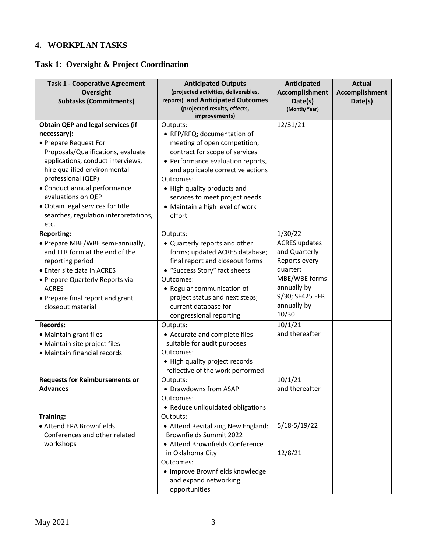## **4. WORKPLAN TASKS**

# **Task 1: Oversight & Project Coordination**

| <b>Task 1 - Cooperative Agreement</b>              | <b>Anticipated Outputs</b>                                                | Anticipated             | <b>Actual</b>  |
|----------------------------------------------------|---------------------------------------------------------------------------|-------------------------|----------------|
| Oversight                                          | (projected activities, deliverables,<br>reports) and Anticipated Outcomes | Accomplishment          | Accomplishment |
| <b>Subtasks (Commitments)</b>                      | (projected results, effects,                                              | Date(s)<br>(Month/Year) | Date(s)        |
|                                                    | improvements)                                                             |                         |                |
| <b>Obtain QEP and legal services (if</b>           | Outputs:                                                                  | 12/31/21                |                |
| necessary):                                        | • RFP/RFQ; documentation of                                               |                         |                |
| • Prepare Request For                              | meeting of open competition;                                              |                         |                |
| Proposals/Qualifications, evaluate                 | contract for scope of services                                            |                         |                |
| applications, conduct interviews,                  | • Performance evaluation reports,                                         |                         |                |
| hire qualified environmental<br>professional (QEP) | and applicable corrective actions<br>Outcomes:                            |                         |                |
| • Conduct annual performance                       |                                                                           |                         |                |
| evaluations on QEP                                 | • High quality products and<br>services to meet project needs             |                         |                |
| · Obtain legal services for title                  | • Maintain a high level of work                                           |                         |                |
| searches, regulation interpretations,              | effort                                                                    |                         |                |
| etc.                                               |                                                                           |                         |                |
| <b>Reporting:</b>                                  | Outputs:                                                                  | 1/30/22                 |                |
| • Prepare MBE/WBE semi-annually,                   | • Quarterly reports and other                                             | <b>ACRES</b> updates    |                |
| and FFR form at the end of the                     | forms; updated ACRES database;                                            | and Quarterly           |                |
| reporting period                                   | final report and closeout forms                                           | Reports every           |                |
| • Enter site data in ACRES                         | • "Success Story" fact sheets                                             | quarter;                |                |
| • Prepare Quarterly Reports via                    | Outcomes:                                                                 | MBE/WBE forms           |                |
| <b>ACRES</b>                                       | • Regular communication of                                                | annually by             |                |
| • Prepare final report and grant                   | project status and next steps;                                            | 9/30; SF425 FFR         |                |
| closeout material                                  | current database for                                                      | annually by             |                |
|                                                    | congressional reporting                                                   | 10/30                   |                |
| <b>Records:</b>                                    | Outputs:                                                                  | 10/1/21                 |                |
| • Maintain grant files                             | • Accurate and complete files                                             | and thereafter          |                |
| · Maintain site project files                      | suitable for audit purposes                                               |                         |                |
| • Maintain financial records                       | Outcomes:                                                                 |                         |                |
|                                                    | • High quality project records                                            |                         |                |
| <b>Requests for Reimbursements or</b>              | reflective of the work performed<br>Outputs:                              | 10/1/21                 |                |
| <b>Advances</b>                                    | · Drawdowns from ASAP                                                     | and thereafter          |                |
|                                                    | Outcomes:                                                                 |                         |                |
|                                                    | • Reduce unliquidated obligations                                         |                         |                |
| Training:                                          | Outputs:                                                                  |                         |                |
| • Attend EPA Brownfields                           | • Attend Revitalizing New England:                                        | $5/18-5/19/22$          |                |
| Conferences and other related                      | <b>Brownfields Summit 2022</b>                                            |                         |                |
| workshops                                          | • Attend Brownfields Conference                                           |                         |                |
|                                                    | in Oklahoma City                                                          | 12/8/21                 |                |
|                                                    | Outcomes:                                                                 |                         |                |
|                                                    | · Improve Brownfields knowledge                                           |                         |                |
|                                                    | and expand networking                                                     |                         |                |
|                                                    | opportunities                                                             |                         |                |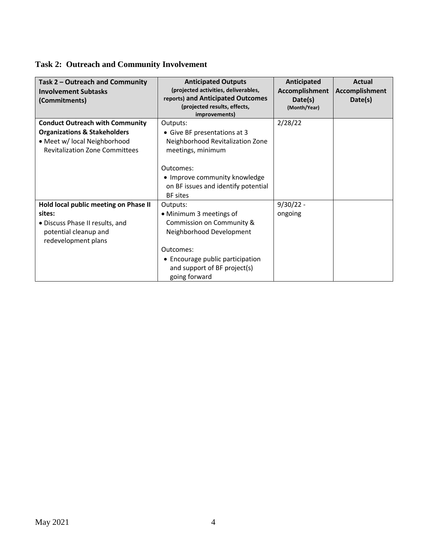# **Task 2: Outreach and Community Involvement**

| Task 2 - Outreach and Community<br><b>Involvement Subtasks</b><br>(Commitments)                                                                            | <b>Anticipated Outputs</b><br>(projected activities, deliverables,<br>reports) and Anticipated Outcomes<br>(projected results, effects,<br>improvements)                                       | Anticipated<br><b>Accomplishment</b><br>Date(s)<br>(Month/Year) | <b>Actual</b><br><b>Accomplishment</b><br>Date(s) |
|------------------------------------------------------------------------------------------------------------------------------------------------------------|------------------------------------------------------------------------------------------------------------------------------------------------------------------------------------------------|-----------------------------------------------------------------|---------------------------------------------------|
| <b>Conduct Outreach with Community</b><br><b>Organizations &amp; Stakeholders</b><br>• Meet w/ local Neighborhood<br><b>Revitalization Zone Committees</b> | Outputs:<br>• Give BF presentations at 3<br>Neighborhood Revitalization Zone<br>meetings, minimum                                                                                              | 2/28/22                                                         |                                                   |
|                                                                                                                                                            | Outcomes:<br>• Improve community knowledge<br>on BF issues and identify potential<br><b>BF</b> sites                                                                                           |                                                                 |                                                   |
| Hold local public meeting on Phase II<br>sites:<br>· Discuss Phase II results, and<br>potential cleanup and<br>redevelopment plans                         | Outputs:<br>• Minimum 3 meetings of<br>Commission on Community &<br>Neighborhood Development<br>Outcomes:<br>• Encourage public participation<br>and support of BF project(s)<br>going forward | $9/30/22 -$<br>ongoing                                          |                                                   |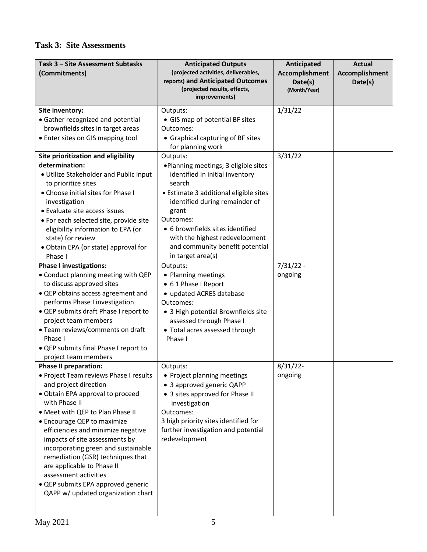## **Task 3: Site Assessments**

| Task 3 - Site Assessment Subtasks<br>(Commitments)                                                                                                                                                                                                                                                                                                                                                                                                                                                                                                                                                                                                                                                                                    | <b>Anticipated Outputs</b><br>(projected activities, deliverables,<br>reports) and Anticipated Outcomes<br>(projected results, effects,<br>improvements)                                                                                                                                                                                                                                                                                                                                                                                                               | Anticipated<br>Accomplishment<br>Date(s)<br>(Month/Year) | <b>Actual</b><br>Accomplishment<br>Date(s) |
|---------------------------------------------------------------------------------------------------------------------------------------------------------------------------------------------------------------------------------------------------------------------------------------------------------------------------------------------------------------------------------------------------------------------------------------------------------------------------------------------------------------------------------------------------------------------------------------------------------------------------------------------------------------------------------------------------------------------------------------|------------------------------------------------------------------------------------------------------------------------------------------------------------------------------------------------------------------------------------------------------------------------------------------------------------------------------------------------------------------------------------------------------------------------------------------------------------------------------------------------------------------------------------------------------------------------|----------------------------------------------------------|--------------------------------------------|
| Site inventory:<br>• Gather recognized and potential<br>brownfields sites in target areas<br>• Enter sites on GIS mapping tool                                                                                                                                                                                                                                                                                                                                                                                                                                                                                                                                                                                                        | Outputs:<br>• GIS map of potential BF sites<br>Outcomes:<br>• Graphical capturing of BF sites                                                                                                                                                                                                                                                                                                                                                                                                                                                                          | 1/31/22                                                  |                                            |
| Site prioritization and eligibility<br>determination:<br>· Utilize Stakeholder and Public input<br>to prioritize sites<br>• Choose initial sites for Phase I<br>investigation<br>• Evaluate site access issues<br>· For each selected site, provide site<br>eligibility information to EPA (or<br>state) for review<br>· Obtain EPA (or state) approval for<br>Phase I<br><b>Phase I investigations:</b><br>• Conduct planning meeting with QEP<br>to discuss approved sites<br>• QEP obtains access agreement and<br>performs Phase I investigation<br>• QEP submits draft Phase I report to<br>project team members<br>• Team reviews/comments on draft<br>Phase I<br>• QEP submits final Phase I report to<br>project team members | for planning work<br>Outputs:<br>. Planning meetings; 3 eligible sites<br>identified in initial inventory<br>search<br>• Estimate 3 additional eligible sites<br>identified during remainder of<br>grant<br>Outcomes:<br>• 6 brownfields sites identified<br>with the highest redevelopment<br>and community benefit potential<br>in target area(s)<br>Outputs:<br>• Planning meetings<br>• 61 Phase I Report<br>• updated ACRES database<br>Outcomes:<br>• 3 High potential Brownfields site<br>assessed through Phase I<br>• Total acres assessed through<br>Phase I | 3/31/22<br>$7/31/22 -$<br>ongoing                        |                                            |
| <b>Phase II preparation:</b><br>• Project Team reviews Phase I results<br>and project direction<br>• Obtain EPA approval to proceed<br>with Phase II<br>• Meet with QEP to Plan Phase II<br>• Encourage QEP to maximize<br>efficiencies and minimize negative<br>impacts of site assessments by<br>incorporating green and sustainable<br>remediation (GSR) techniques that<br>are applicable to Phase II<br>assessment activities<br>• QEP submits EPA approved generic<br>QAPP w/ updated organization chart                                                                                                                                                                                                                        | Outputs:<br>• Project planning meetings<br>• 3 approved generic QAPP<br>• 3 sites approved for Phase II<br>investigation<br>Outcomes:<br>3 high priority sites identified for<br>further investigation and potential<br>redevelopment                                                                                                                                                                                                                                                                                                                                  | $8/31/22$ -<br>ongoing                                   |                                            |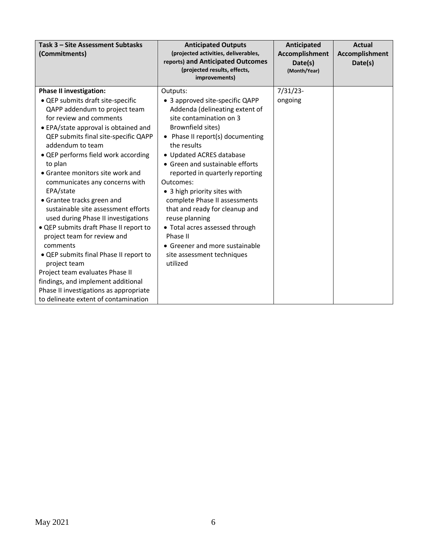| Task 3 - Site Assessment Subtasks<br>(Commitments)                                                                                                                                                                                                                                                                                                                                                                                                                                                                                                                                                                                                                                                                                                                                             | <b>Anticipated Outputs</b><br>(projected activities, deliverables,<br>reports) and Anticipated Outcomes<br>(projected results, effects,<br>improvements)                                                                                                                                                                                                                                                                                                                                                                                       | Anticipated<br><b>Accomplishment</b><br>Date(s)<br>(Month/Year) | <b>Actual</b><br>Accomplishment<br>Date(s) |
|------------------------------------------------------------------------------------------------------------------------------------------------------------------------------------------------------------------------------------------------------------------------------------------------------------------------------------------------------------------------------------------------------------------------------------------------------------------------------------------------------------------------------------------------------------------------------------------------------------------------------------------------------------------------------------------------------------------------------------------------------------------------------------------------|------------------------------------------------------------------------------------------------------------------------------------------------------------------------------------------------------------------------------------------------------------------------------------------------------------------------------------------------------------------------------------------------------------------------------------------------------------------------------------------------------------------------------------------------|-----------------------------------------------------------------|--------------------------------------------|
| <b>Phase II investigation:</b><br>• QEP submits draft site-specific<br>QAPP addendum to project team<br>for review and comments<br>• EPA/state approval is obtained and<br>QEP submits final site-specific QAPP<br>addendum to team<br>• QEP performs field work according<br>to plan<br>• Grantee monitors site work and<br>communicates any concerns with<br>EPA/state<br>• Grantee tracks green and<br>sustainable site assessment efforts<br>used during Phase II investigations<br>• QEP submits draft Phase II report to<br>project team for review and<br>comments<br>• QEP submits final Phase II report to<br>project team<br>Project team evaluates Phase II<br>findings, and implement additional<br>Phase II investigations as appropriate<br>to delineate extent of contamination | Outputs:<br>• 3 approved site-specific QAPP<br>Addenda (delineating extent of<br>site contamination on 3<br>Brownfield sites)<br>• Phase II report(s) documenting<br>the results<br>• Updated ACRES database<br>• Green and sustainable efforts<br>reported in quarterly reporting<br>Outcomes:<br>• 3 high priority sites with<br>complete Phase II assessments<br>that and ready for cleanup and<br>reuse planning<br>• Total acres assessed through<br>Phase II<br>• Greener and more sustainable<br>site assessment techniques<br>utilized | $7/31/23$ -<br>ongoing                                          |                                            |